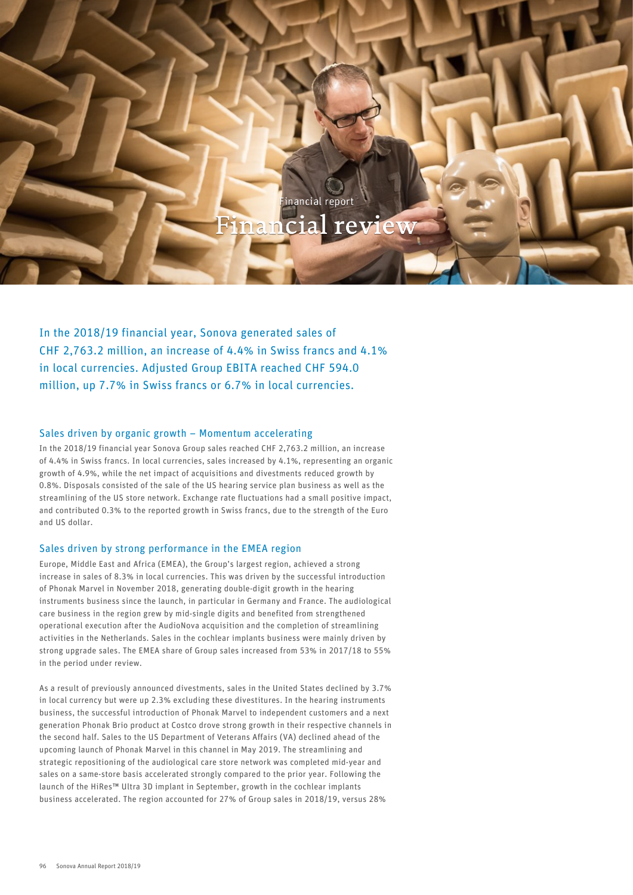

inancial report

In the 2018/19 financial year, Sonova generated sales of CHF 2,763.2 million, an increase of 4.4% in Swiss francs and 4.1% in local currencies. Adjusted Group EBITA reached CHF 594.0 million, up 7.7% in Swiss francs or 6.7% in local currencies.

# Sales driven by organic growth – Momentum accelerating

In the 2018/19 financial year Sonova Group sales reached CHF 2,763.2 million, an increase of 4.4% in Swiss francs. In local currencies, sales increased by 4.1%, representing an organic growth of 4.9%, while the net impact of acquisitions and divestments reduced growth by 0.8%. Disposals consisted of the sale of the US hearing service plan business as well as the streamlining of the US store network. Exchange rate fluctuations had a small positive impact, and contributed 0.3% to the reported growth in Swiss francs, due to the strength of the Euro and US dollar.

# Sales driven by strong performance in the EMEA region

Europe, Middle East and Africa (EMEA), the Group's largest region, achieved a strong increase in sales of 8.3% in local currencies. This was driven by the successful introduction of Phonak Marvel in November 2018, generating double-digit growth in the hearing instruments business since the launch, in particular in Germany and France. The audiological care business in the region grew by mid-single digits and benefited from strengthened operational execution after the AudioNova acquisition and the completion of streamlining activities in the Netherlands. Sales in the cochlear implants business were mainly driven by strong upgrade sales. The EMEA share of Group sales increased from 53% in 2017/18 to 55% in the period under review.

As a result of previously announced divestments, sales in the United States declined by 3.7% in local currency but were up 2.3% excluding these divestitures. In the hearing instruments business, the successful introduction of Phonak Marvel to independent customers and a next generation Phonak Brio product at Costco drove strong growth in their respective channels in the second half. Sales to the US Department of Veterans Affairs (VA) declined ahead of the upcoming launch of Phonak Marvel in this channel in May 2019. The streamlining and strategic repositioning of the audiological care store network was completed mid-year and sales on a same-store basis accelerated strongly compared to the prior year. Following the launch of the HiRes™ Ultra 3D implant in September, growth in the cochlear implants business accelerated. The region accounted for 27% of Group sales in 2018/19, versus 28%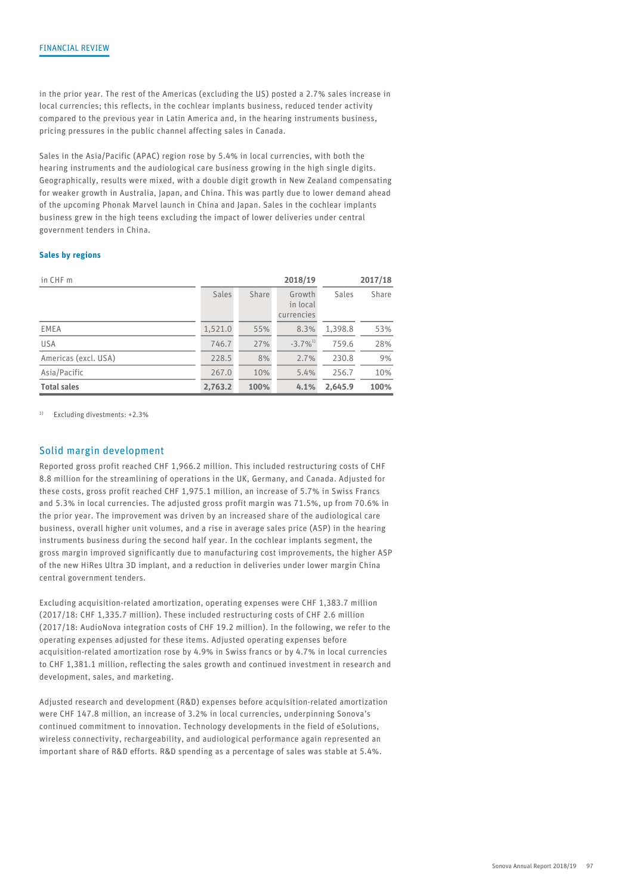in the prior year. The rest of the Americas (excluding the US) posted a 2.7% sales increase in local currencies; this reflects, in the cochlear implants business, reduced tender activity compared to the previous year in Latin America and, in the hearing instruments business, pricing pressures in the public channel affecting sales in Canada.

Sales in the Asia/Pacific (APAC) region rose by 5.4% in local currencies, with both the hearing instruments and the audiological care business growing in the high single digits. Geographically, results were mixed, with a double digit growth in New Zealand compensating for weaker growth in Australia, Japan, and China. This was partly due to lower demand ahead of the upcoming Phonak Marvel launch in China and Japan. Sales in the cochlear implants business grew in the high teens excluding the impact of lower deliveries under central government tenders in China.

#### Sales by regions

| in CHF m             |         |       | 2018/19                          |         | 2017/18 |
|----------------------|---------|-------|----------------------------------|---------|---------|
|                      | Sales   | Share | Growth<br>in local<br>currencies | Sales   | Share   |
| EMEA                 | 1,521.0 | 55%   | 8.3%                             | 1,398.8 | 53%     |
| <b>USA</b>           | 746.7   | 27%   | $-3.7\%^{1}$                     | 759.6   | 28%     |
| Americas (excl. USA) | 228.5   | 8%    | 2.7%                             | 230.8   | 9%      |
| Asia/Pacific         | 267.0   | 10%   | 5.4%                             | 256.7   | 10%     |
| <b>Total sales</b>   | 2,763.2 | 100%  | 4.1%                             | 2,645.9 | 100%    |

<sup>1)</sup> Excluding divestments: +2.3%

# Solid margin development

Reported gross profit reached CHF 1,966.2 million. This included restructuring costs of CHF 8.8 million for the streamlining of operations in the UK, Germany, and Canada. Adjusted for these costs, gross profit reached CHF 1,975.1 million, an increase of 5.7% in Swiss Francs and 5.3% in local currencies. The adjusted gross profit margin was 71.5%, up from 70.6% in the prior year. The improvement was driven by an increased share of the audiological care business, overall higher unit volumes, and a rise in average sales price (ASP) in the hearing instruments business during the second half year. In the cochlear implants segment, the gross margin improved significantly due to manufacturing cost improvements, the higher ASP of the new HiRes Ultra 3D implant, and a reduction in deliveries under lower margin China central government tenders.

Excluding acquisition-related amortization, operating expenses were CHF 1,383.7 million (2017/18: CHF 1,335.7 million). These included restructuring costs of CHF 2.6 million (2017/18: AudioNova integration costs of CHF 19.2 million). In the following, we refer to the operating expenses adjusted for these items. Adjusted operating expenses before acquisition-related amortization rose by 4.9% in Swiss francs or by 4.7% in local currencies to CHF 1,381.1 million, reflecting the sales growth and continued investment in research and development, sales, and marketing.

Adjusted research and development (R&D) expenses before acquisition-related amortization were CHF 147.8 million, an increase of 3.2% in local currencies, underpinning Sonova's continued commitment to innovation. Technology developments in the field of eSolutions, wireless connectivity, rechargeability, and audiological performance again represented an important share of R&D efforts. R&D spending as a percentage of sales was stable at 5.4%.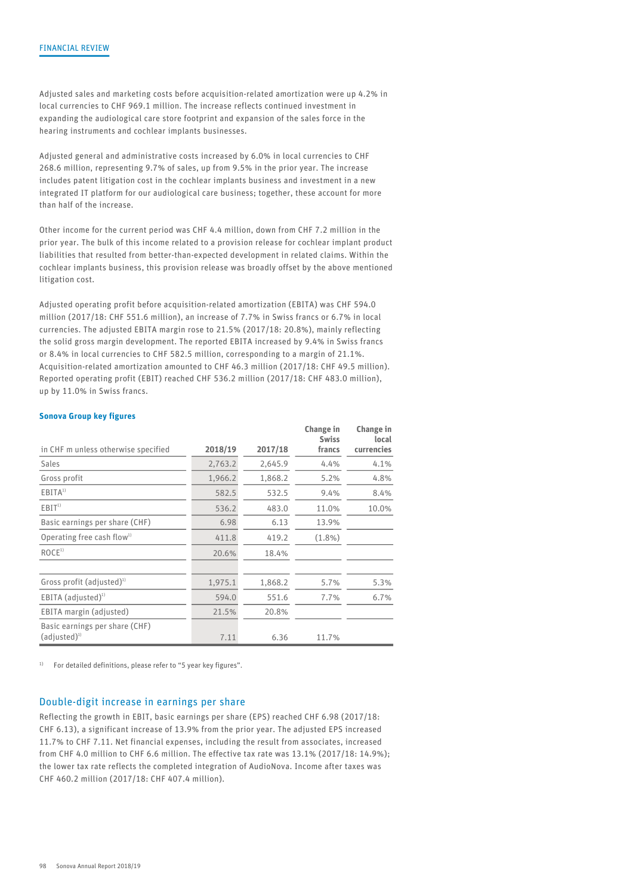Adjusted sales and marketing costs before acquisition-related amortization were up 4.2% in local currencies to CHF 969.1 million. The increase reflects continued investment in expanding the audiological care store footprint and expansion of the sales force in the hearing instruments and cochlear implants businesses.

Adjusted general and administrative costs increased by 6.0% in local currencies to CHF 268.6 million, representing 9.7% of sales, up from 9.5% in the prior year. The increase includes patent litigation cost in the cochlear implants business and investment in a new integrated IT platform for our audiological care business; together, these account for more than half of the increase.

Other income for the current period was CHF 4.4 million, down from CHF 7.2 million in the prior year. The bulk of this income related to a provision release for cochlear implant product liabilities that resulted from better-than-expected development in related claims. Within the cochlear implants business, this provision release was broadly offset by the above mentioned litigation cost.

Adjusted operating profit before acquisition-related amortization (EBITA) was CHF 594.0 million (2017/18: CHF 551.6 million), an increase of 7.7% in Swiss francs or 6.7% in local currencies. The adjusted EBITA margin rose to 21.5% (2017/18: 20.8%), mainly reflecting the solid gross margin development. The reported EBITA increased by 9.4% in Swiss francs or 8.4% in local currencies to CHF 582.5 million, corresponding to a margin of 21.1%. Acquisition-related amortization amounted to CHF 46.3 million (2017/18: CHF 49.5 million). Reported operating profit (EBIT) reached CHF 536.2 million (2017/18: CHF 483.0 million), up by 11.0% in Swiss francs.

#### Sonova Group key figures

|                                        |         |         | Change in<br><b>Swiss</b> | Change in<br>local |
|----------------------------------------|---------|---------|---------------------------|--------------------|
| in CHF m unless otherwise specified    | 2018/19 | 2017/18 | francs                    | currencies         |
| Sales                                  | 2,763.2 | 2,645.9 | 4.4%                      | 4.1%               |
| Gross profit                           | 1,966.2 | 1,868.2 | 5.2%                      | 4.8%               |
| EBITA <sup>1</sup>                     | 582.5   | 532.5   | 9.4%                      | 8.4%               |
| EBIT <sup>1</sup>                      | 536.2   | 483.0   | 11.0%                     | 10.0%              |
| Basic earnings per share (CHF)         | 6.98    | 6.13    | 13.9%                     |                    |
| Operating free cash flow <sup>1)</sup> | 411.8   | 419.2   | $(1.8\%)$                 |                    |
| ROCE <sup>1</sup>                      | 20.6%   | 18.4%   |                           |                    |
|                                        |         |         |                           |                    |
| Gross profit (adjusted) <sup>1)</sup>  | 1,975.1 | 1,868.2 | 5.7%                      | 5.3%               |
| $EBITA$ (adjusted) <sup>1)</sup>       | 594.0   | 551.6   | 7.7%                      | 6.7%               |
| EBITA margin (adjusted)                | 21.5%   | 20.8%   |                           |                    |
| Basic earnings per share (CHF)         |         |         |                           |                    |
| $(adjusted)^1$                         | 7.11    | 6.36    | 11.7%                     |                    |

 $1)$  For detailed definitions, please refer to "5 year key figures".

## Double-digit increase in earnings per share

Reflecting the growth in EBIT, basic earnings per share (EPS) reached CHF 6.98 (2017/18: CHF 6.13), a significant increase of 13.9% from the prior year. The adjusted EPS increased 11.7% to CHF 7.11. Net financial expenses, including the result from associates, increased from CHF 4.0 million to CHF 6.6 million. The effective tax rate was 13.1% (2017/18: 14.9%); the lower tax rate reflects the completed integration of AudioNova. Income after taxes was CHF 460.2 million (2017/18: CHF 407.4 million).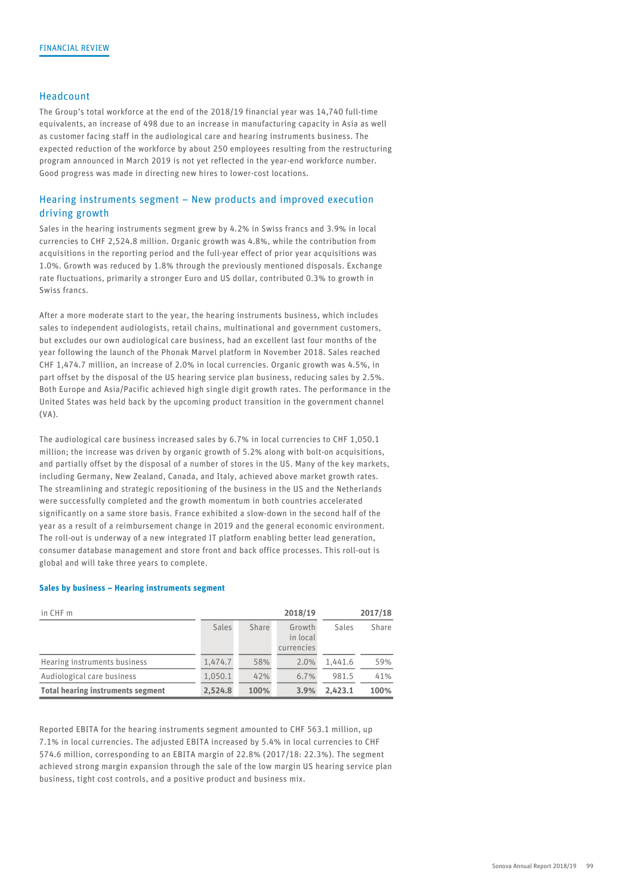### Headcount

The Group's total workforce at the end of the 2018/19 financial year was 14,740 full-time equivalents, an increase of 498 due to an increase in manufacturing capacity in Asia as well as customer facing staff in the audiological care and hearing instruments business. The expected reduction of the workforce by about 250 employees resulting from the restructuring program announced in March 2019 is not yet reflected in the year-end workforce number. Good progress was made in directing new hires to lower-cost locations.

# Hearing instruments segment – New products and improved execution driving growth

Sales in the hearing instruments segment grew by 4.2% in Swiss francs and 3.9% in local currencies to CHF 2,524.8 million. Organic growth was 4.8%, while the contribution from acquisitions in the reporting period and the full-year effect of prior year acquisitions was 1.0%. Growth was reduced by 1.8% through the previously mentioned disposals. Exchange rate fluctuations, primarily a stronger Euro and US dollar, contributed 0.3% to growth in Swiss francs.

After a more moderate start to the year, the hearing instruments business, which includes sales to independent audiologists, retail chains, multinational and government customers, but excludes our own audiological care business, had an excellent last four months of the year following the launch of the Phonak Marvel platform in November 2018. Sales reached CHF 1,474.7 million, an increase of 2.0% in local currencies. Organic growth was 4.5%, in part offset by the disposal of the US hearing service plan business, reducing sales by 2.5%. Both Europe and Asia/Pacific achieved high single digit growth rates. The performance in the United States was held back by the upcoming product transition in the government channel (VA).

The audiological care business increased sales by 6.7% in local currencies to CHF 1,050.1 million; the increase was driven by organic growth of 5.2% along with bolt-on acquisitions, and partially offset by the disposal of a number of stores in the US. Many of the key markets, including Germany, New Zealand, Canada, and Italy, achieved above market growth rates. The streamlining and strategic repositioning of the business in the US and the Netherlands were successfully completed and the growth momentum in both countries accelerated significantly on a same store basis. France exhibited a slow-down in the second half of the year as a result of a reimbursement change in 2019 and the general economic environment. The roll-out is underway of a new integrated IT platform enabling better lead generation, consumer database management and store front and back office processes. This roll-out is global and will take three years to complete.

#### Sales by business – Hearing instruments segment

| in CHF m                                 |              |       | 2018/19            |         | 2017/18 |
|------------------------------------------|--------------|-------|--------------------|---------|---------|
|                                          | <b>Sales</b> | Share | Growth<br>in local | Sales   | Share   |
|                                          |              |       | currencies         |         |         |
| Hearing instruments business             | 1.474.7      | 58%   | 2.0%               | .441.6  | 59%     |
| Audiological care business               | 1.050.1      | 42%   | 6.7%               | 981.5   | 41%     |
| <b>Total hearing instruments segment</b> | 2.524.8      | 100%  | 3.9%               | 2.423.1 | 100%    |

Reported EBITA for the hearing instruments segment amounted to CHF 563.1 million, up 7.1% in local currencies. The adjusted EBITA increased by 5.4% in local currencies to CHF 574.6 million, corresponding to an EBITA margin of 22.8% (2017/18: 22.3%). The segment achieved strong margin expansion through the sale of the low margin US hearing service plan business, tight cost controls, and a positive product and business mix.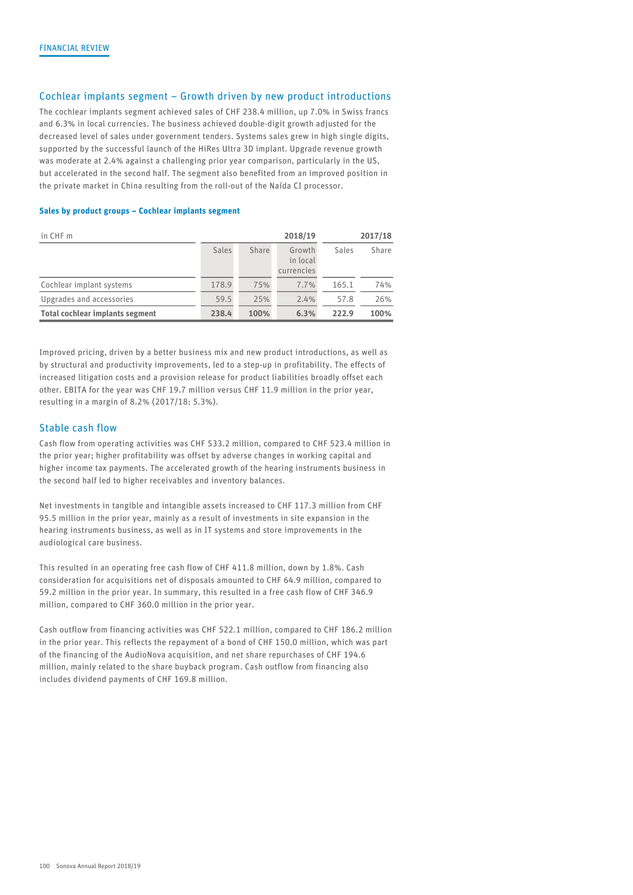## Cochlear implants segment – Growth driven by new product introductions

The cochlear implants segment achieved sales of CHF 238.4 million, up 7.0% in Swiss francs and 6.3% in local currencies. The business achieved double-digit growth adjusted for the decreased level of sales under government tenders. Systems sales grew in high single digits, supported by the successful launch of the HiRes Ultra 3D implant. Upgrade revenue growth was moderate at 2.4% against a challenging prior year comparison, particularly in the US, but accelerated in the second half. The segment also benefited from an improved position in the private market in China resulting from the roll-out of the Naída CI processor.

#### Sales by product groups – Cochlear implants segment

| in CHF m                               |       |       | 2018/19            |       | 2017/18 |
|----------------------------------------|-------|-------|--------------------|-------|---------|
|                                        | Sales | Share | Growth<br>in local | Sales | Share   |
|                                        |       |       | currencies         |       |         |
| Cochlear implant systems               | 178.9 | 75%   | 7.7%               | 165.1 | 74%     |
| Upgrades and accessories               | 59.5  | 25%   | 2.4%               | 57.8  | 26%     |
| <b>Total cochlear implants segment</b> | 238.4 | 100%  | 6.3%               | 222.9 | 100%    |

Improved pricing, driven by a better business mix and new product introductions, as well as by structural and productivity improvements, led to a step-up in profitability. The effects of increased litigation costs and a provision release for product liabilities broadly offset each other. EBITA for the year was CHF 19.7 million versus CHF 11.9 million in the prior year, resulting in a margin of 8.2% (2017/18: 5.3%).

## Stable cash flow

Cash flow from operating activities was CHF 533.2 million, compared to CHF 523.4 million in the prior year; higher profitability was offset by adverse changes in working capital and higher income tax payments. The accelerated growth of the hearing instruments business in the second half led to higher receivables and inventory balances.

Net investments in tangible and intangible assets increased to CHF 117.3 million from CHF 95.5 million in the prior year, mainly as a result of investments in site expansion in the hearing instruments business, as well as in IT systems and store improvements in the audiological care business.

This resulted in an operating free cash flow of CHF 411.8 million, down by 1.8%. Cash consideration for acquisitions net of disposals amounted to CHF 64.9 million, compared to 59.2 million in the prior year. In summary, this resulted in a free cash flow of CHF 346.9 million, compared to CHF 360.0 million in the prior year.

Cash outflow from financing activities was CHF 522.1 million, compared to CHF 186.2 million in the prior year. This reflects the repayment of a bond of CHF 150.0 million, which was part of the financing of the AudioNova acquisition, and net share repurchases of CHF 194.6 million, mainly related to the share buyback program. Cash outflow from financing also includes dividend payments of CHF 169.8 million.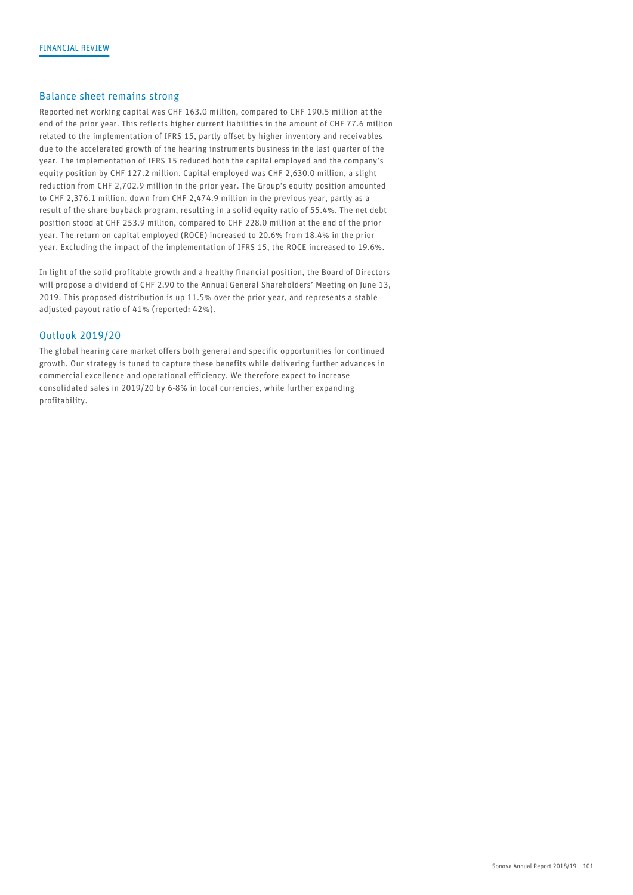## Balance sheet remains strong

Reported net working capital was CHF 163.0 million, compared to CHF 190.5 million at the end of the prior year. This reflects higher current liabilities in the amount of CHF 77.6 million related to the implementation of IFRS 15, partly offset by higher inventory and receivables due to the accelerated growth of the hearing instruments business in the last quarter of the year. The implementation of IFRS 15 reduced both the capital employed and the company's equity position by CHF 127.2 million. Capital employed was CHF 2,630.0 million, a slight reduction from CHF 2,702.9 million in the prior year. The Group's equity position amounted to CHF 2,376.1 million, down from CHF 2,474.9 million in the previous year, partly as a result of the share buyback program, resulting in a solid equity ratio of 55.4%. The net debt position stood at CHF 253.9 million, compared to CHF 228.0 million at the end of the prior year. The return on capital employed (ROCE) increased to 20.6% from 18.4% in the prior year. Excluding the impact of the implementation of IFRS 15, the ROCE increased to 19.6%.

In light of the solid profitable growth and a healthy financial position, the Board of Directors will propose a dividend of CHF 2.90 to the Annual General Shareholders' Meeting on June 13, 2019. This proposed distribution is up 11.5% over the prior year, and represents a stable adjusted payout ratio of 41% (reported: 42%).

## Outlook 2019/20

The global hearing care market offers both general and specific opportunities for continued growth. Our strategy is tuned to capture these benefits while delivering further advances in commercial excellence and operational efficiency. We therefore expect to increase consolidated sales in 2019/20 by 6-8% in local currencies, while further expanding profitability.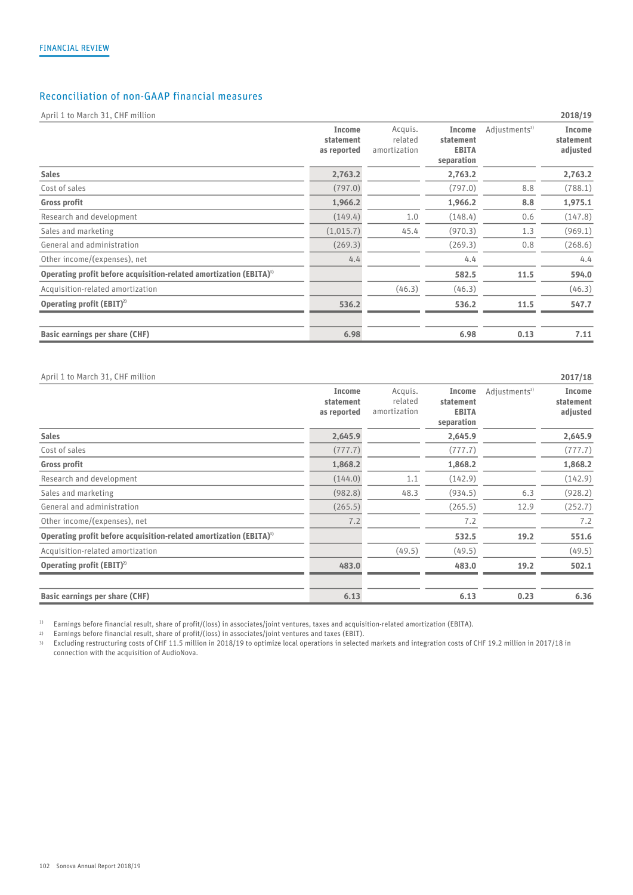# Reconciliation of non-GAAP financial measures

April 1 to March 31, CHF million 2018/19

|                                                                                | Income<br>statement<br>as reported | Acquis.<br>related<br>amortization | Income<br>statement<br><b>EBITA</b><br>separation | Adjustments <sup>3)</sup> | Income<br>statement<br>adjusted |
|--------------------------------------------------------------------------------|------------------------------------|------------------------------------|---------------------------------------------------|---------------------------|---------------------------------|
| <b>Sales</b>                                                                   | 2,763.2                            |                                    | 2,763.2                                           |                           | 2,763.2                         |
| Cost of sales                                                                  | (797.0)                            |                                    | (797.0)                                           | 8.8                       | (788.1)                         |
| Gross profit                                                                   | 1,966.2                            |                                    | 1,966.2                                           | 8.8                       | 1,975.1                         |
| Research and development                                                       | (149.4)                            | 1.0                                | (148.4)                                           | 0.6                       | (147.8)                         |
| Sales and marketing                                                            | (1,015.7)                          | 45.4                               | (970.3)                                           | 1.3                       | (969.1)                         |
| General and administration                                                     | (269.3)                            |                                    | (269.3)                                           | 0.8                       | (268.6)                         |
| Other income/(expenses), net                                                   | 4.4                                |                                    | 4.4                                               |                           | 4.4                             |
| Operating profit before acquisition-related amortization (EBITA) <sup>1)</sup> |                                    |                                    | 582.5                                             | 11.5                      | 594.0                           |
| Acquisition-related amortization                                               |                                    | (46.3)                             | (46.3)                                            |                           | (46.3)                          |
| Operating profit $(EBIT)^2$                                                    | 536.2                              |                                    | 536.2                                             | 11.5                      | 547.7                           |
| Basic earnings per share (CHF)                                                 | 6.98                               |                                    | 6.98                                              | 0.13                      | 7.11                            |

#### April 1 to March 31, CHF million 2017/18

|                                                                                | Income<br>statement<br>as reported | Acquis.<br>related<br>amortization | Income<br>statement<br><b>EBITA</b><br>separation | Adjustments <sup>3)</sup> | Income<br>statement<br>adjusted |
|--------------------------------------------------------------------------------|------------------------------------|------------------------------------|---------------------------------------------------|---------------------------|---------------------------------|
| <b>Sales</b>                                                                   | 2,645.9                            |                                    | 2,645.9                                           |                           | 2,645.9                         |
| Cost of sales                                                                  | (777.7)                            |                                    | (777.7)                                           |                           | (777.7)                         |
| <b>Gross profit</b>                                                            | 1,868.2                            |                                    | 1,868.2                                           |                           | 1,868.2                         |
| Research and development                                                       | (144.0)                            | 1.1                                | (142.9)                                           |                           | (142.9)                         |
| Sales and marketing                                                            | (982.8)                            | 48.3                               | (934.5)                                           | 6.3                       | (928.2)                         |
| General and administration                                                     | (265.5)                            |                                    | (265.5)                                           | 12.9                      | (252.7)                         |
| Other income/(expenses), net                                                   | 7.2                                |                                    | 7.2                                               |                           | 7.2                             |
| Operating profit before acquisition-related amortization (EBITA) <sup>1)</sup> |                                    |                                    | 532.5                                             | 19.2                      | 551.6                           |
| Acquisition-related amortization                                               |                                    | (49.5)                             | (49.5)                                            |                           | (49.5)                          |
| Operating profit $(EBIT)^2$                                                    | 483.0                              |                                    | 483.0                                             | 19.2                      | 502.1                           |
| Basic earnings per share (CHF)                                                 | 6.13                               |                                    | 6.13                                              | 0.23                      | 6.36                            |

<sup>1)</sup> Earnings before financial result, share of profit/(loss) in associates/joint ventures, taxes and acquisition-related amortization (EBITA).<br><sup>2)</sup> Earnings before financial result. share of profit/(loss) in associates/i

2) Earnings before financial result, share of profit/(loss) in associates/joint ventures and taxes (EBIT).

3) Excluding restructuring costs of CHF 11.5 million in 2018/19 to optimize local operations in selected markets and integration costs of CHF 19.2 million in 2017/18 in connection with the acquisition of AudioNova.